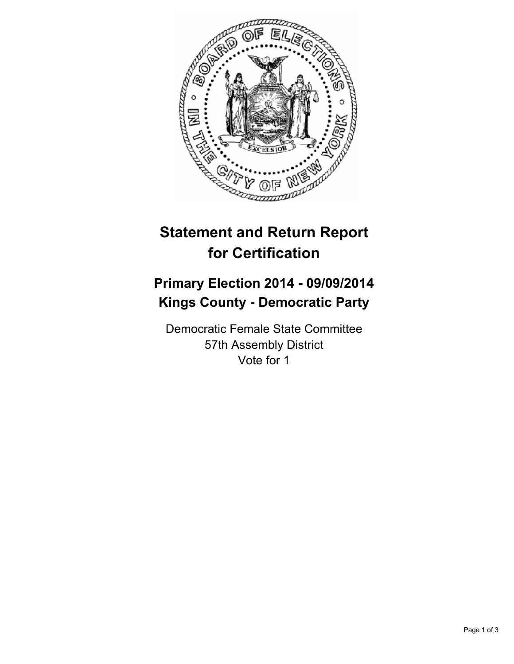

# **Statement and Return Report for Certification**

## **Primary Election 2014 - 09/09/2014 Kings County - Democratic Party**

Democratic Female State Committee 57th Assembly District Vote for 1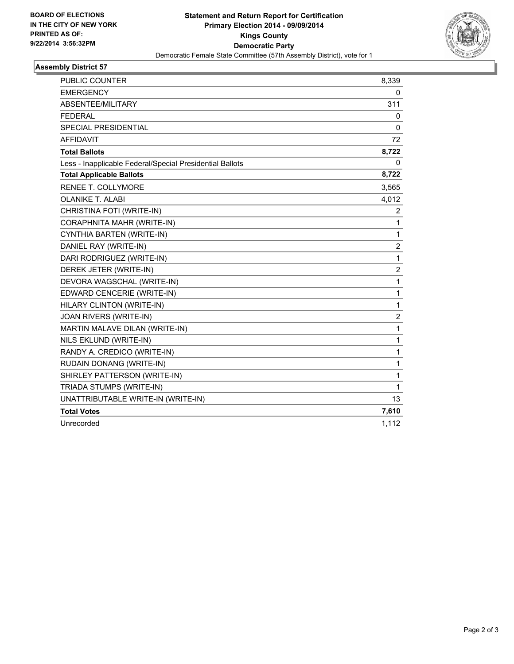

### **Assembly District 57**

| <b>PUBLIC COUNTER</b>                                    | 8,339                   |
|----------------------------------------------------------|-------------------------|
| <b>EMERGENCY</b>                                         | 0                       |
| ABSENTEE/MILITARY                                        | 311                     |
| <b>FEDERAL</b>                                           | 0                       |
| <b>SPECIAL PRESIDENTIAL</b>                              | 0                       |
| <b>AFFIDAVIT</b>                                         | 72                      |
| <b>Total Ballots</b>                                     | 8,722                   |
| Less - Inapplicable Federal/Special Presidential Ballots | 0                       |
| <b>Total Applicable Ballots</b>                          | 8,722                   |
| RENEE T. COLLYMORE                                       | 3,565                   |
| <b>OLANIKE T. ALABI</b>                                  | 4,012                   |
| CHRISTINA FOTI (WRITE-IN)                                | 2                       |
| CORAPHNITA MAHR (WRITE-IN)                               | 1                       |
| CYNTHIA BARTEN (WRITE-IN)                                | 1                       |
| DANIEL RAY (WRITE-IN)                                    | $\overline{\mathbf{c}}$ |
| DARI RODRIGUEZ (WRITE-IN)                                | $\mathbf{1}$            |
| DEREK JETER (WRITE-IN)                                   | $\overline{2}$          |
| DEVORA WAGSCHAL (WRITE-IN)                               | 1                       |
| EDWARD CENCERIE (WRITE-IN)                               | 1                       |
| HILARY CLINTON (WRITE-IN)                                | 1                       |
| JOAN RIVERS (WRITE-IN)                                   | 2                       |
| MARTIN MALAVE DILAN (WRITE-IN)                           | 1                       |
| NILS EKLUND (WRITE-IN)                                   | 1                       |
| RANDY A. CREDICO (WRITE-IN)                              | 1                       |
| RUDAIN DONANG (WRITE-IN)                                 | 1                       |
| SHIRLEY PATTERSON (WRITE-IN)                             | 1                       |
| TRIADA STUMPS (WRITE-IN)                                 | 1                       |
| UNATTRIBUTABLE WRITE-IN (WRITE-IN)                       | 13                      |
| <b>Total Votes</b>                                       | 7,610                   |
| Unrecorded                                               | 1,112                   |